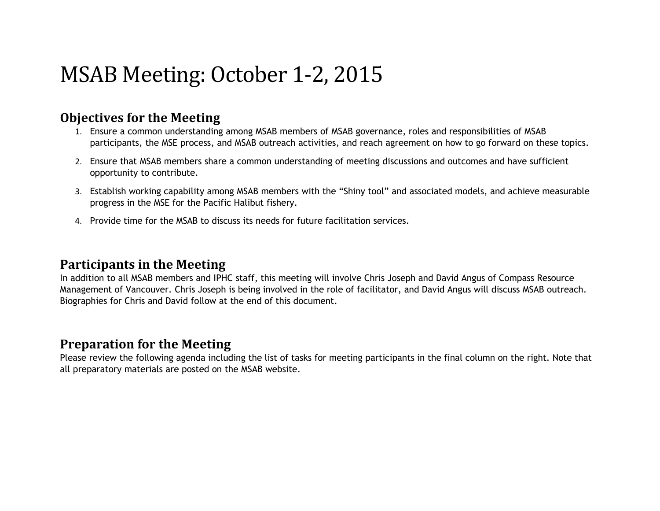# MSAB Meeting: October 1-2, 2015

#### **Objectives for the Meeting**

- 1. Ensure a common understanding among MSAB members of MSAB governance, roles and responsibilities of MSAB participants, the MSE process, and MSAB outreach activities, and reach agreement on how to go forward on these topics.
- 2. Ensure that MSAB members share a common understanding of meeting discussions and outcomes and have sufficient opportunity to contribute.
- 3. Establish working capability among MSAB members with the "Shiny tool" and associated models, and achieve measurable progress in the MSE for the Pacific Halibut fishery.
- 4. Provide time for the MSAB to discuss its needs for future facilitation services.

#### **Participants in the Meeting**

In addition to all MSAB members and IPHC staff, this meeting will involve Chris Joseph and David Angus of Compass Resource Management of Vancouver. Chris Joseph is being involved in the role of facilitator, and David Angus will discuss MSAB outreach. Biographies for Chris and David follow at the end of this document.

### **Preparation for the Meeting**

Please review the following agenda including the list of tasks for meeting participants in the final column on the right. Note that all preparatory materials are posted on the MSAB website.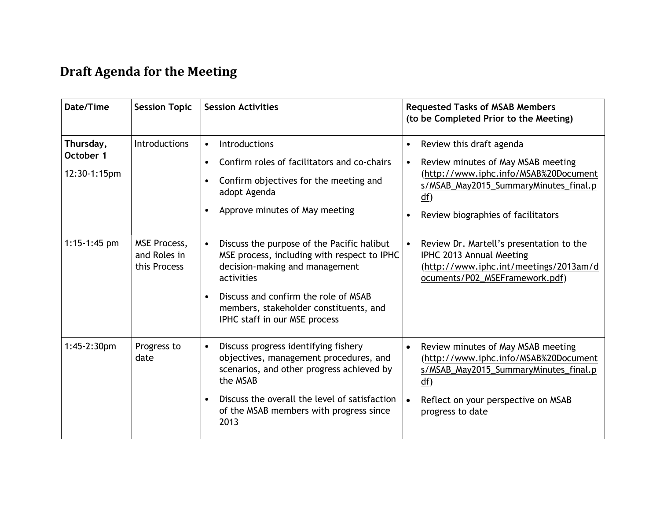## **Draft Agenda for the Meeting**

| Date/Time                              | <b>Session Topic</b>                         | <b>Session Activities</b>                                                                                                                                                                                                                                                              | <b>Requested Tasks of MSAB Members</b><br>(to be Completed Prior to the Meeting)                                                                                                                                 |
|----------------------------------------|----------------------------------------------|----------------------------------------------------------------------------------------------------------------------------------------------------------------------------------------------------------------------------------------------------------------------------------------|------------------------------------------------------------------------------------------------------------------------------------------------------------------------------------------------------------------|
| Thursday,<br>October 1<br>12:30-1:15pm | <b>Introductions</b>                         | Introductions<br>$\bullet$<br>Confirm roles of facilitators and co-chairs<br>$\bullet$<br>Confirm objectives for the meeting and<br>٠<br>adopt Agenda<br>Approve minutes of May meeting<br>$\bullet$                                                                                   | Review this draft agenda<br>$\bullet$<br>Review minutes of May MSAB meeting<br>(http://www.iphc.info/MSAB%20Document<br>s/MSAB_May2015_SummaryMinutes_final.p<br>$df$ )<br>Review biographies of facilitators    |
| $1:15-1:45$ pm                         | MSE Process,<br>and Roles in<br>this Process | Discuss the purpose of the Pacific halibut<br>$\bullet$<br>MSE process, including with respect to IPHC<br>decision-making and management<br>activities<br>Discuss and confirm the role of MSAB<br>$\bullet$<br>members, stakeholder constituents, and<br>IPHC staff in our MSE process | Review Dr. Martell's presentation to the<br>$\bullet$<br>IPHC 2013 Annual Meeting<br>(http://www.iphc.int/meetings/2013am/d<br>ocuments/P02_MSEFramework.pdf)                                                    |
| $1:45-2:30pm$                          | Progress to<br>date                          | Discuss progress identifying fishery<br>$\bullet$<br>objectives, management procedures, and<br>scenarios, and other progress achieved by<br>the MSAB<br>Discuss the overall the level of satisfaction<br>$\bullet$<br>of the MSAB members with progress since<br>2013                  | Review minutes of May MSAB meeting<br>$\bullet$<br>(http://www.iphc.info/MSAB%20Document<br>s/MSAB_May2015_SummaryMinutes_final.p<br>df)<br>Reflect on your perspective on MSAB<br>$\bullet$<br>progress to date |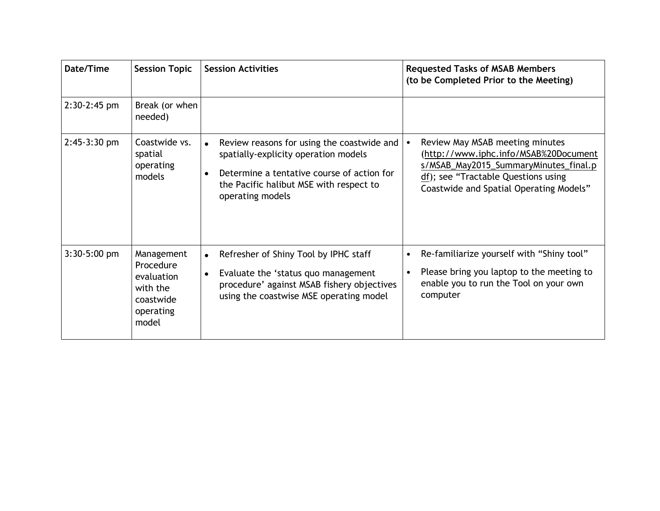| Date/Time      | <b>Session Topic</b>                                                                 | <b>Session Activities</b>                                                                                                                                                                                                 | <b>Requested Tasks of MSAB Members</b><br>(to be Completed Prior to the Meeting)                                                                                                                                 |
|----------------|--------------------------------------------------------------------------------------|---------------------------------------------------------------------------------------------------------------------------------------------------------------------------------------------------------------------------|------------------------------------------------------------------------------------------------------------------------------------------------------------------------------------------------------------------|
| 2:30-2:45 pm   | Break (or when<br>needed)                                                            |                                                                                                                                                                                                                           |                                                                                                                                                                                                                  |
| $2:45-3:30$ pm | Coastwide vs.<br>spatial<br>operating<br>models                                      | Review reasons for using the coastwide and<br>$\bullet$<br>spatially-explicity operation models<br>Determine a tentative course of action for<br>$\bullet$<br>the Pacific halibut MSE with respect to<br>operating models | Review May MSAB meeting minutes<br>$\bullet$<br>(http://www.iphc.info/MSAB%20Document<br>s/MSAB_May2015_SummaryMinutes_final.p<br>df); see "Tractable Questions using<br>Coastwide and Spatial Operating Models" |
| $3:30-5:00$ pm | Management<br>Procedure<br>evaluation<br>with the<br>coastwide<br>operating<br>model | Refresher of Shiny Tool by IPHC staff<br>$\bullet$<br>Evaluate the 'status quo management<br>$\bullet$<br>procedure' against MSAB fishery objectives<br>using the coastwise MSE operating model                           | Re-familiarize yourself with "Shiny tool"<br>Please bring you laptop to the meeting to<br>$\bullet$<br>enable you to run the Tool on your own<br>computer                                                        |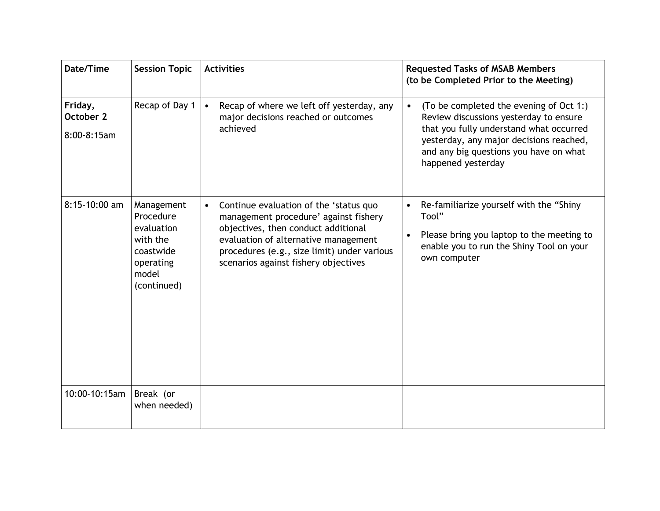| Date/Time                           | <b>Session Topic</b>                                                                                | <b>Activities</b>                                                                                                                                                                                                                                                  | <b>Requested Tasks of MSAB Members</b><br>(to be Completed Prior to the Meeting)                                                                                                                                                                     |
|-------------------------------------|-----------------------------------------------------------------------------------------------------|--------------------------------------------------------------------------------------------------------------------------------------------------------------------------------------------------------------------------------------------------------------------|------------------------------------------------------------------------------------------------------------------------------------------------------------------------------------------------------------------------------------------------------|
| Friday,<br>October 2<br>8:00-8:15am | Recap of Day 1                                                                                      | Recap of where we left off yesterday, any<br>$\bullet$<br>major decisions reached or outcomes<br>achieved                                                                                                                                                          | (To be completed the evening of Oct 1:)<br>$\bullet$<br>Review discussions yesterday to ensure<br>that you fully understand what occurred<br>yesterday, any major decisions reached,<br>and any big questions you have on what<br>happened yesterday |
| 8:15-10:00 am                       | Management<br>Procedure<br>evaluation<br>with the<br>coastwide<br>operating<br>model<br>(continued) | Continue evaluation of the 'status quo<br>$\bullet$<br>management procedure' against fishery<br>objectives, then conduct additional<br>evaluation of alternative management<br>procedures (e.g., size limit) under various<br>scenarios against fishery objectives | Re-familiarize yourself with the "Shiny<br>Tool"<br>Please bring you laptop to the meeting to<br>$\bullet$<br>enable you to run the Shiny Tool on your<br>own computer                                                                               |
| 10:00-10:15am                       | Break (or<br>when needed)                                                                           |                                                                                                                                                                                                                                                                    |                                                                                                                                                                                                                                                      |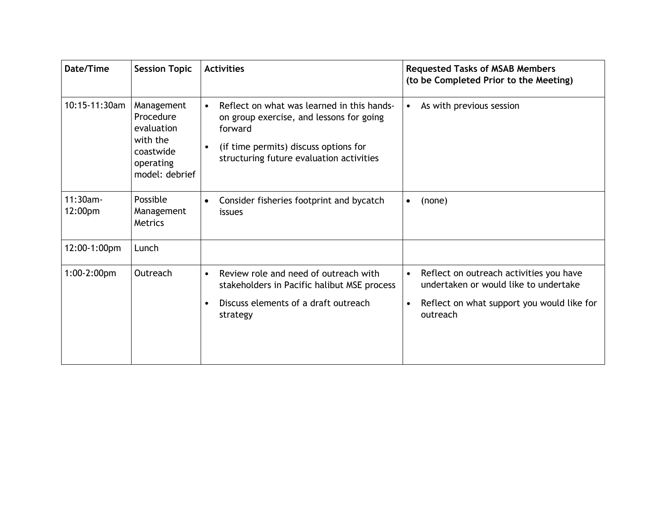| Date/Time              | <b>Session Topic</b>                                                                          | <b>Activities</b>                                                                                                                                                                                                | <b>Requested Tasks of MSAB Members</b><br>(to be Completed Prior to the Meeting)                                                                        |
|------------------------|-----------------------------------------------------------------------------------------------|------------------------------------------------------------------------------------------------------------------------------------------------------------------------------------------------------------------|---------------------------------------------------------------------------------------------------------------------------------------------------------|
| 10:15-11:30am          | Management<br>Procedure<br>evaluation<br>with the<br>coastwide<br>operating<br>model: debrief | Reflect on what was learned in this hands-<br>$\bullet$<br>on group exercise, and lessons for going<br>forward<br>(if time permits) discuss options for<br>$\bullet$<br>structuring future evaluation activities | As with previous session<br>$\bullet$                                                                                                                   |
| $11:30am -$<br>12:00pm | Possible<br>Management<br><b>Metrics</b>                                                      | Consider fisheries footprint and bycatch<br>$\bullet$<br>issues                                                                                                                                                  | (none)<br>$\bullet$                                                                                                                                     |
| 12:00-1:00pm           | Lunch                                                                                         |                                                                                                                                                                                                                  |                                                                                                                                                         |
| $1:00-2:00$ pm         | Outreach                                                                                      | Review role and need of outreach with<br>$\bullet$<br>stakeholders in Pacific halibut MSE process<br>Discuss elements of a draft outreach<br>٠<br>strategy                                                       | Reflect on outreach activities you have<br>$\bullet$<br>undertaken or would like to undertake<br>Reflect on what support you would like for<br>outreach |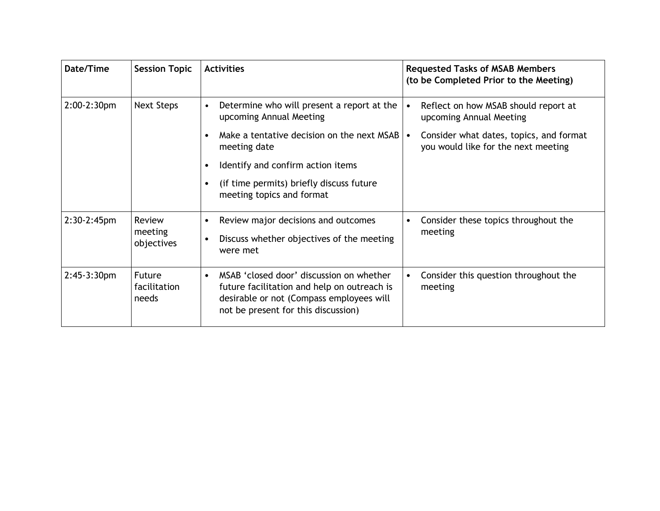| Date/Time      | <b>Session Topic</b>                   | <b>Activities</b>                                                                                                                                                                       | <b>Requested Tasks of MSAB Members</b><br>(to be Completed Prior to the Meeting) |
|----------------|----------------------------------------|-----------------------------------------------------------------------------------------------------------------------------------------------------------------------------------------|----------------------------------------------------------------------------------|
| $2:00-2:30$ pm | <b>Next Steps</b>                      | Determine who will present a report at the<br>$\bullet$<br>upcoming Annual Meeting                                                                                                      | Reflect on how MSAB should report at<br>upcoming Annual Meeting                  |
|                |                                        | Make a tentative decision on the next MSAB<br>meeting date                                                                                                                              | Consider what dates, topics, and format<br>you would like for the next meeting   |
|                |                                        | Identify and confirm action items                                                                                                                                                       |                                                                                  |
|                |                                        | (if time permits) briefly discuss future<br>meeting topics and format                                                                                                                   |                                                                                  |
| $2:30-2:45$ pm | Review<br>meeting<br>objectives        | Review major decisions and outcomes<br>Discuss whether objectives of the meeting<br>were met                                                                                            | Consider these topics throughout the<br>meeting                                  |
| $2:45-3:30pm$  | <b>Future</b><br>facilitation<br>needs | MSAB 'closed door' discussion on whether<br>$\bullet$<br>future facilitation and help on outreach is<br>desirable or not (Compass employees will<br>not be present for this discussion) | Consider this question throughout the<br>meeting                                 |